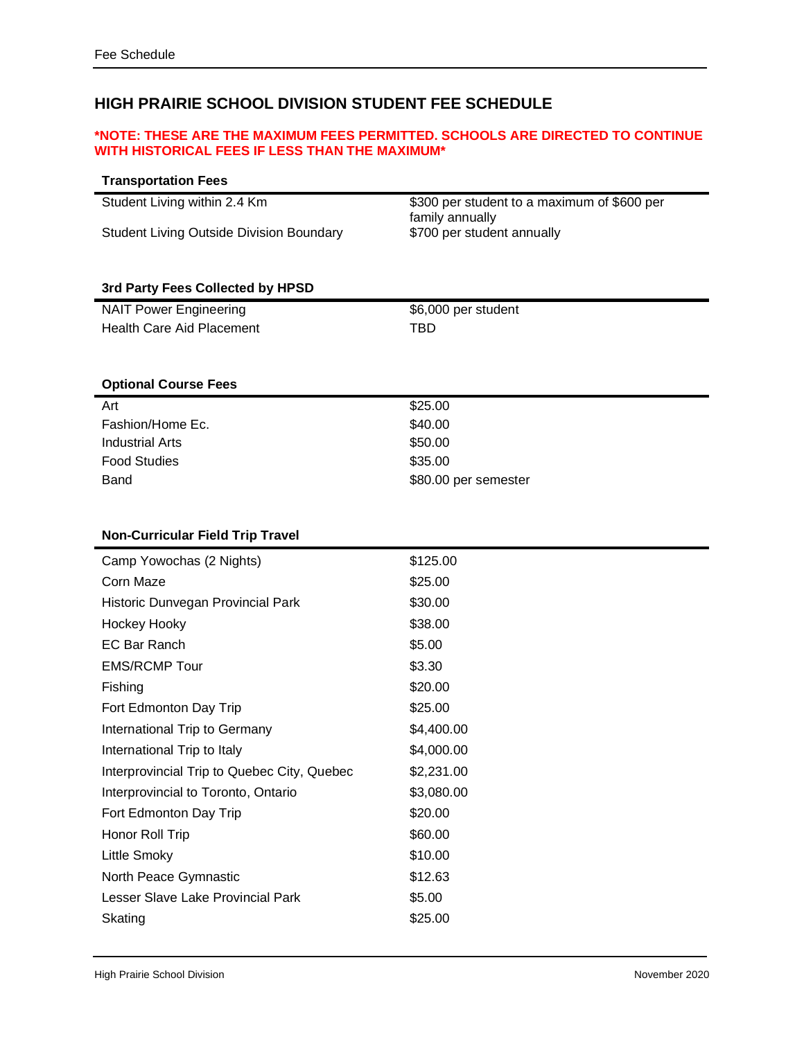## **HIGH PRAIRIE SCHOOL DIVISION STUDENT FEE SCHEDULE**

#### **\*NOTE: THESE ARE THE MAXIMUM FEES PERMITTED. SCHOOLS ARE DIRECTED TO CONTINUE WITH HISTORICAL FEES IF LESS THAN THE MAXIMUM\***

| <b>Transportation Fees</b>                      |                                               |
|-------------------------------------------------|-----------------------------------------------|
| Student Living within 2.4 Km                    | \$300 per student to a maximum of \$600 per   |
| <b>Student Living Outside Division Boundary</b> | family annually<br>\$700 per student annually |
|                                                 |                                               |
|                                                 |                                               |
| 3rd Party Fees Collected by HPSD                |                                               |
| <b>NAIT Power Engineering</b>                   | \$6,000 per student                           |
| <b>Health Care Aid Placement</b>                | <b>TBD</b>                                    |
|                                                 |                                               |
| <b>Optional Course Fees</b>                     |                                               |
| Art                                             | \$25.00                                       |
| Fashion/Home Ec.                                | \$40.00                                       |
| <b>Industrial Arts</b>                          | \$50.00                                       |
| <b>Food Studies</b>                             | \$35.00                                       |
| Band                                            | \$80.00 per semester                          |
|                                                 |                                               |
| <b>Non-Curricular Field Trip Travel</b>         |                                               |
| Camp Yowochas (2 Nights)                        | \$125.00                                      |
| Corn Maze                                       | \$25.00                                       |
| Historic Dunvegan Provincial Park               | \$30.00                                       |
| Hockey Hooky                                    | \$38.00                                       |
| <b>EC Bar Ranch</b>                             | \$5.00                                        |
| <b>EMS/RCMP Tour</b>                            | \$3.30                                        |
| Fishing                                         | \$20.00                                       |
| Fort Edmonton Day Trip                          | \$25.00                                       |
| International Trip to Germany                   | \$4,400.00                                    |
| International Trip to Italy                     | \$4,000.00                                    |
| Interprovincial Trip to Quebec City, Quebec     | \$2,231.00                                    |
| Interprovincial to Toronto, Ontario             | \$3,080.00                                    |
| Fort Edmonton Day Trip                          | \$20.00                                       |
| Honor Roll Trip                                 | \$60.00                                       |
| Little Smoky                                    | \$10.00                                       |
| North Peace Gymnastic                           | \$12.63                                       |
| Lesser Slave Lake Provincial Park               | \$5.00                                        |
| Skating                                         | \$25.00                                       |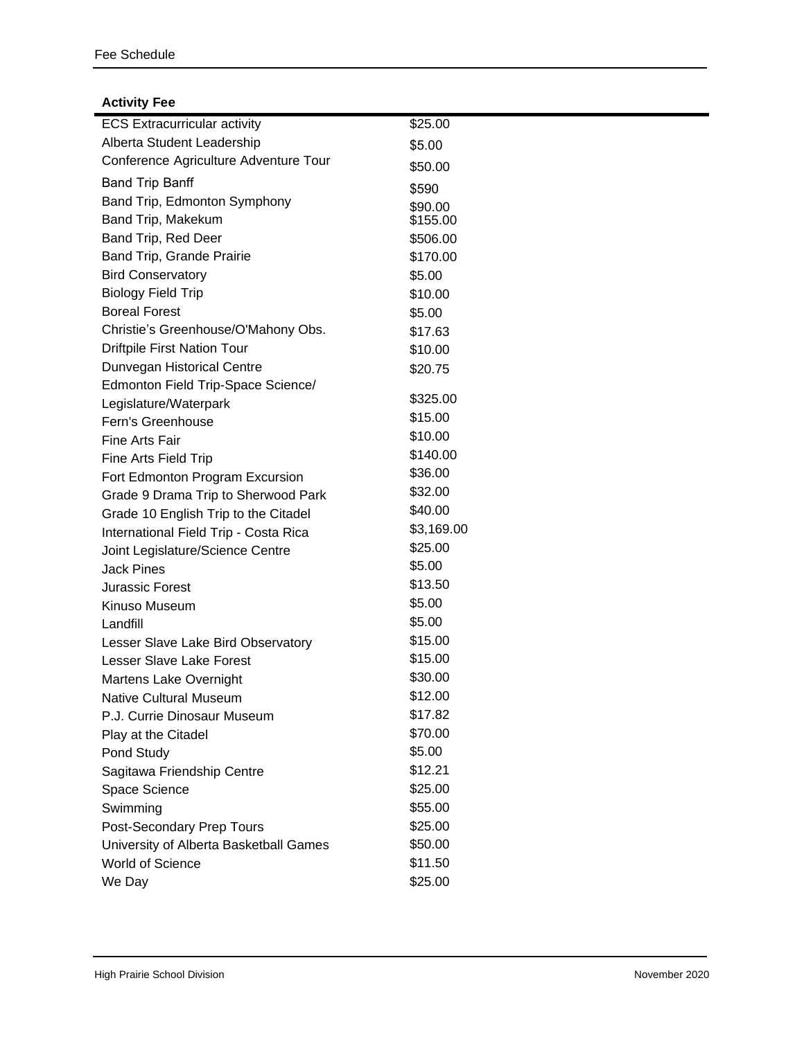### **Activity Fee**

| <b>ECS Extracurricular activity</b>    | \$25.00    |
|----------------------------------------|------------|
| Alberta Student Leadership             | \$5.00     |
| Conference Agriculture Adventure Tour  | \$50.00    |
| <b>Band Trip Banff</b>                 | \$590      |
| Band Trip, Edmonton Symphony           | \$90.00    |
| Band Trip, Makekum                     | \$155.00   |
| Band Trip, Red Deer                    | \$506.00   |
| Band Trip, Grande Prairie              | \$170.00   |
| <b>Bird Conservatory</b>               | \$5.00     |
| <b>Biology Field Trip</b>              | \$10.00    |
| <b>Boreal Forest</b>                   | \$5.00     |
| Christie's Greenhouse/O'Mahony Obs.    | \$17.63    |
| <b>Driftpile First Nation Tour</b>     | \$10.00    |
| Dunvegan Historical Centre             | \$20.75    |
| Edmonton Field Trip-Space Science/     |            |
| Legislature/Waterpark                  | \$325.00   |
| Fern's Greenhouse                      | \$15.00    |
| Fine Arts Fair                         | \$10.00    |
| Fine Arts Field Trip                   | \$140.00   |
| Fort Edmonton Program Excursion        | \$36.00    |
| Grade 9 Drama Trip to Sherwood Park    | \$32.00    |
| Grade 10 English Trip to the Citadel   | \$40.00    |
| International Field Trip - Costa Rica  | \$3,169.00 |
| Joint Legislature/Science Centre       | \$25.00    |
| <b>Jack Pines</b>                      | \$5.00     |
| Jurassic Forest                        | \$13.50    |
| Kinuso Museum                          | \$5.00     |
| Landfill                               | \$5.00     |
| Lesser Slave Lake Bird Observatory     | \$15.00    |
| <b>Lesser Slave Lake Forest</b>        | \$15.00    |
| Martens Lake Overnight                 | \$30.00    |
| Native Cultural Museum                 | \$12.00    |
| P.J. Currie Dinosaur Museum            | \$17.82    |
| Play at the Citadel                    | \$70.00    |
| Pond Study                             | \$5.00     |
| Sagitawa Friendship Centre             | \$12.21    |
| Space Science                          | \$25.00    |
| Swimming                               | \$55.00    |
| Post-Secondary Prep Tours              | \$25.00    |
| University of Alberta Basketball Games | \$50.00    |
| World of Science                       | \$11.50    |
| We Day                                 | \$25.00    |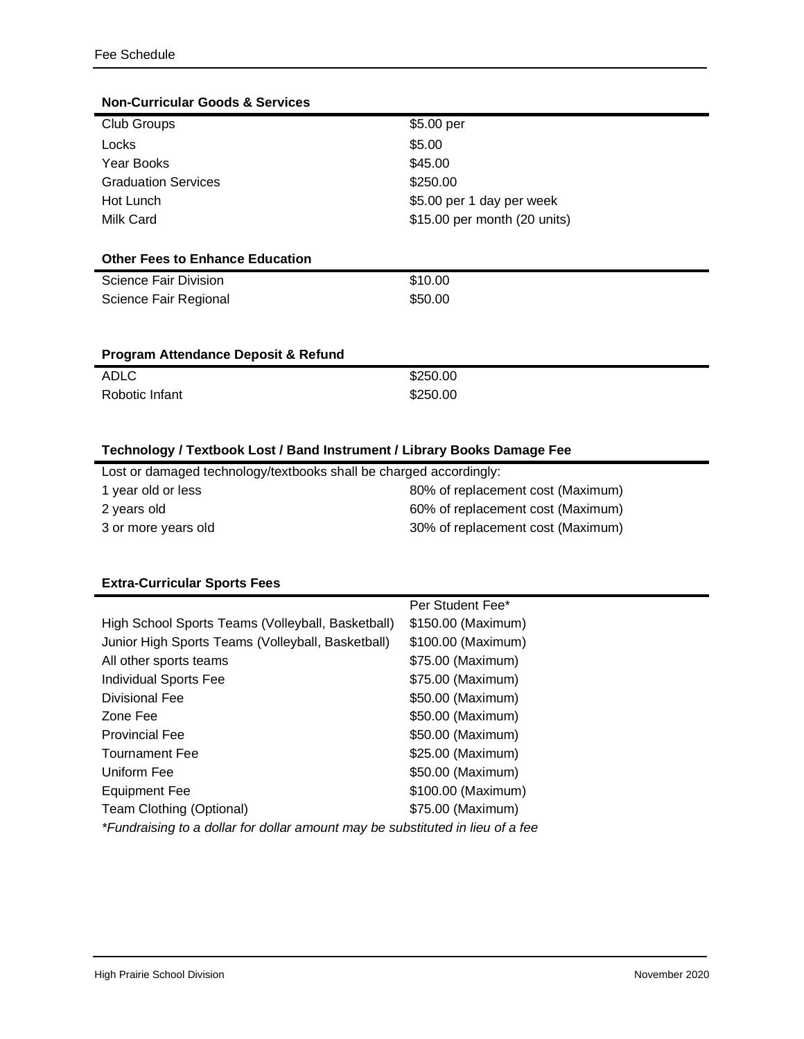| <b>Non-Curricular Goods &amp; Services</b> |                              |
|--------------------------------------------|------------------------------|
| Club Groups                                | \$5.00 per                   |
| Locks                                      | \$5.00                       |
| Year Books                                 | \$45.00                      |
| <b>Graduation Services</b>                 | \$250.00                     |
| Hot Lunch                                  | \$5.00 per 1 day per week    |
| Milk Card                                  | \$15.00 per month (20 units) |
|                                            |                              |
| <b>Other Fees to Enhance Education</b>     |                              |
| Science Fair Division                      | \$10.00                      |
| Science Fair Regional                      | \$50.00                      |
|                                            |                              |
|                                            |                              |
| Program Attendance Deposit & Refund        |                              |
| <b>ADLC</b>                                | \$250.00                     |
| Robotic Infant                             | \$250.00                     |
|                                            |                              |

## **Technology / Textbook Lost / Band Instrument / Library Books Damage Fee**

| Lost or damaged technology/textbooks shall be charged accordingly: |                                   |  |
|--------------------------------------------------------------------|-----------------------------------|--|
| 1 year old or less                                                 | 80% of replacement cost (Maximum) |  |
| 2 years old                                                        | 60% of replacement cost (Maximum) |  |
| 3 or more years old                                                | 30% of replacement cost (Maximum) |  |

#### **Extra-Curricular Sports Fees**

|                                                                                | Per Student Fee*   |  |  |
|--------------------------------------------------------------------------------|--------------------|--|--|
| High School Sports Teams (Volleyball, Basketball)                              | \$150.00 (Maximum) |  |  |
| Junior High Sports Teams (Volleyball, Basketball)                              | \$100.00 (Maximum) |  |  |
| All other sports teams                                                         | \$75.00 (Maximum)  |  |  |
| <b>Individual Sports Fee</b>                                                   | \$75.00 (Maximum)  |  |  |
| Divisional Fee                                                                 | \$50.00 (Maximum)  |  |  |
| Zone Fee                                                                       | \$50.00 (Maximum)  |  |  |
| <b>Provincial Fee</b>                                                          | \$50.00 (Maximum)  |  |  |
| <b>Tournament Fee</b>                                                          | \$25.00 (Maximum)  |  |  |
| Uniform Fee                                                                    | \$50.00 (Maximum)  |  |  |
| Equipment Fee                                                                  | \$100.00 (Maximum) |  |  |
| Team Clothing (Optional)                                                       | \$75.00 (Maximum)  |  |  |
| *Fundraising to a dollar for dollar amount may be substituted in lieu of a fee |                    |  |  |